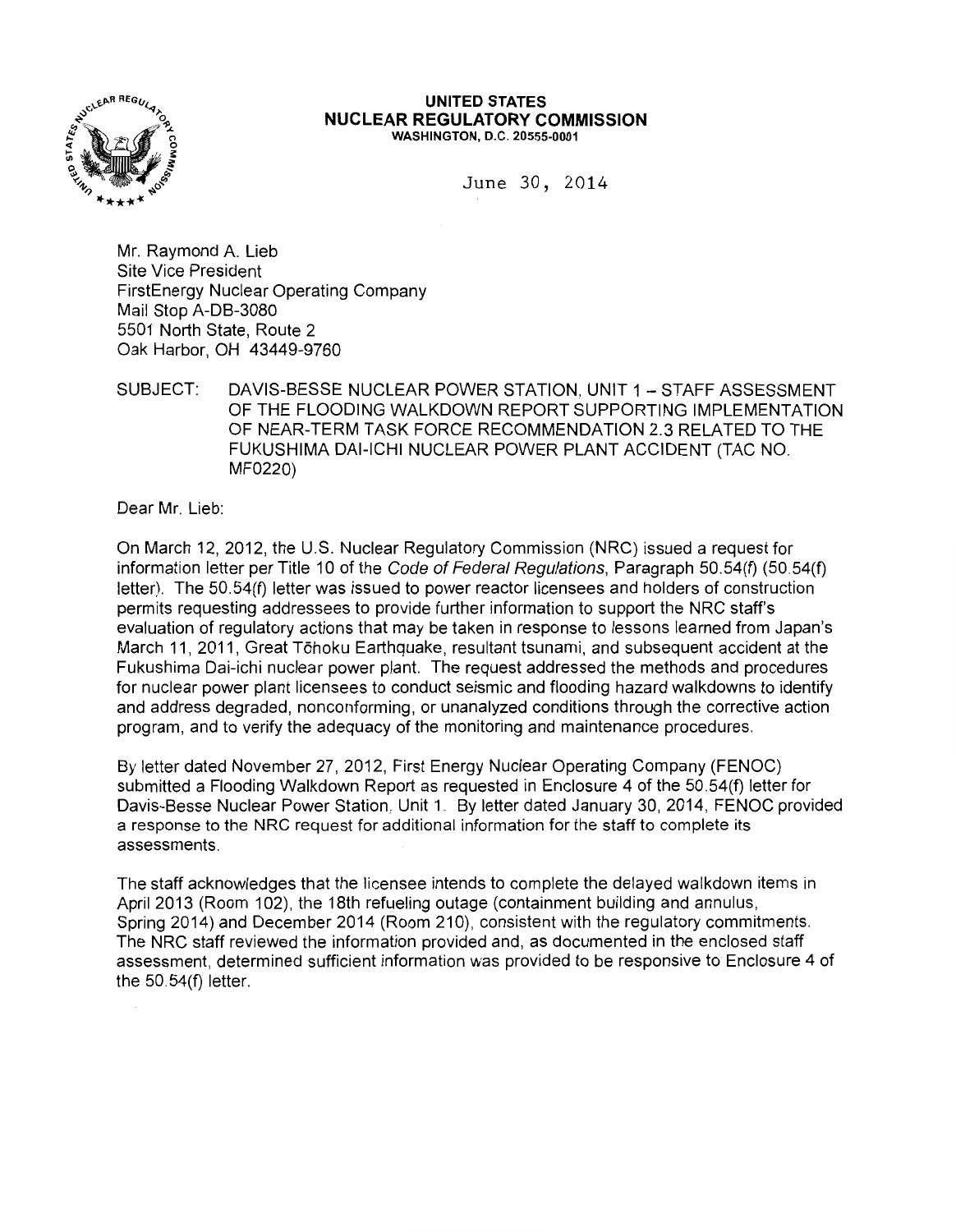

#### **UNITED STATES NUCLEAR REGULATORY COMMISSION**  WASHINGTON, D.C. 20555-0001

June 30, 2014

Mr. Raymond A. Lieb Site Vice President FirstEnergy Nuclear Operating Company Mail Stop A-DB-3080 5501 North State, Route 2 Oak Harbor, OH 43449-9760

SUBJECT: DAVIS-BESSE NUCLEAR POWER STATION, UNIT 1 - STAFF ASSESSMENT OF THE FLOODING WALKDOWN REPORT SUPPORTING IMPLEMENTATION OF NEAR-TERM TASK FORCE RECOMMENDATION 2.3 RELATED TO THE FUKUSHIMA DAI-ICHI NUCLEAR POWER PLANT ACCIDENT (TAC NO. MF0220)

Dear Mr. Lieb:

On March 12, 2012, the U.S. Nuclear Regulatory Commission (NRC) issued a request for information letter per Title 10 of the Code of Federal Regulations, Paragraph 50.54(f) (50.54(f) letter). The 50.54(f) letter was issued to power reactor licensees and holders of construction permits requesting addressees to provide further information to support the NRC staff's evaluation of regulatory actions that may be taken in response to lessons learned from Japan's March 11, 2011, Great T6hoku Earthquake, resultant tsunami, and subsequent accident at the Fukushima Dai-ichi nuclear power plant. The request addressed the methods and procedures for nuclear power plant licensees to conduct seismic and flooding hazard walkdowns to identify and address degraded, nonconforming, or unanalyzed conditions through the corrective action program, and to verify the adequacy of the monitoring and maintenance procedures.

By letter dated November 27, 2012, First Energy Nuclear Operating Company (FENOC) submitted a Flooding Walkdown Report as requested in Enclosure 4 of the 50.54(f) letter for Davis-Besse Nuclear Power Station, Unit 1. By letter dated January 30, 2014, FENOC provided a response to the NRC request for additional information for the staff to complete its assessments.

The staff acknowledges that the licensee intends to complete the delayed walkdown items in April 2013 (Room 102), the 18th refueling outage (containment building and annulus, Spring 2014) and December 2014 (Room 210), consistent with the regulatory commitments. The NRC staff reviewed the information provided and, as documented in the enclosed staff assessment, determined sufficient information was provided to be responsive to Enclosure 4 of the 50.54(f) letter.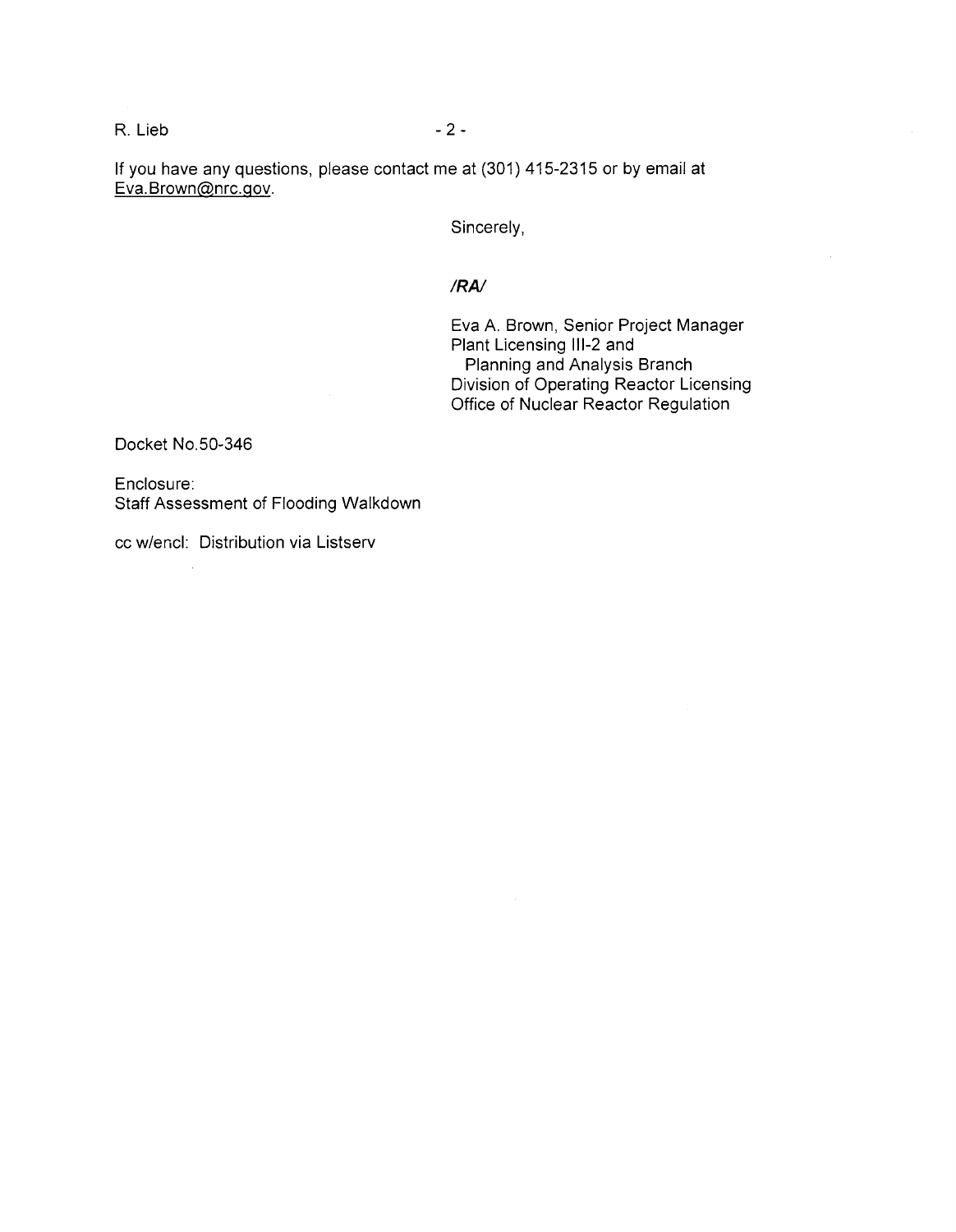#### R. Lieb - 2 -

If you have any questions, please contact me at (301) 415-2315 or by email at Eva. Brown@nrc.gov.

Sincerely,

#### *IRA/*

Eva A. Brown, Senior Project Manager Plant Licensing 111-2 and Planning and Analysis Branch Division of Operating Reactor Licensing Office of Nuclear Reactor Regulation

Docket No.50-346

Enclosure: Staff Assessment of Flooding Walkdown

cc w/encl: Distribution via Listserv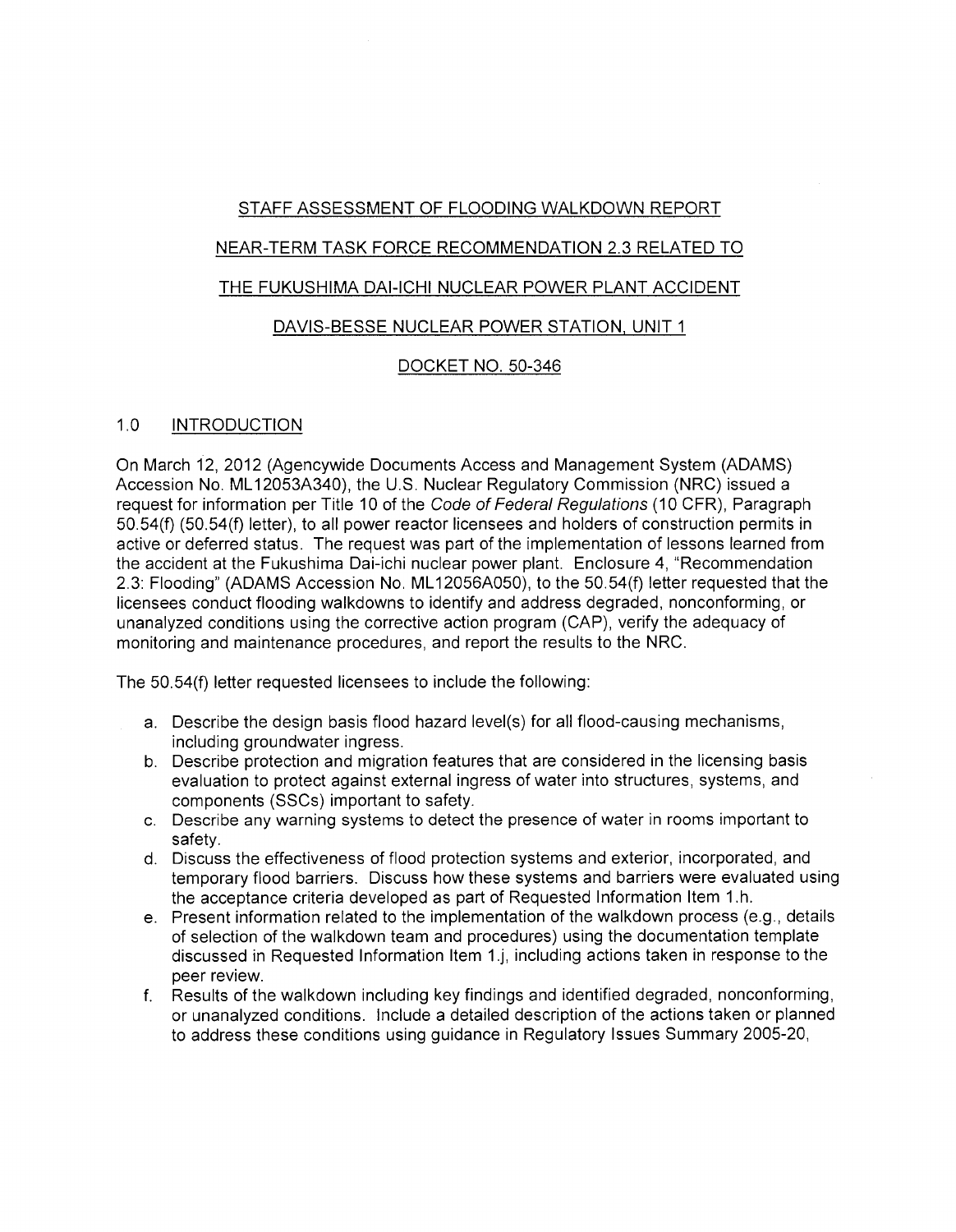# STAFF ASSESSMENT OF FLOODING WALKDOWN REPORT

# NEAR-TERM TASK FORCE RECOMMENDATION 2.3 RELATED TO

# THE FUKUSHIMA DAI-ICHI NUCLEAR POWER PLANT ACCIDENT

# DAVIS-BESSE NUCLEAR POWER STATION, UNIT 1

# DOCKET NO. 50-346

# 1.0 INTRODUCTION

On March 12, 2012 (Agencywide Documents Access and Management System (ADAMS) Accession No. ML 12053A340), the U.S. Nuclear Regulatory Commission (NRC) issued a request for information per Title 10 of the Code of Federal Regulations (10 CFR), Paragraph 50.54(f) (50.54(f) letter), to all power reactor licensees and holders of construction permits in active or deferred status. The request was part of the implementation of lessons learned from the accident at the Fukushima Dai-ichi nuclear power plant. Enclosure 4, "Recommendation 2.3: Flooding" (ADAMS Accession No. ML 12056A050), to the 50.54(f) letter requested that the licensees conduct flooding walkdowns to identify and address degraded, nonconforming, or unanalyzed conditions using the corrective action program (CAP), verify the adequacy of monitoring and maintenance procedures, and report the results to the NRC.

The 50.54(f) letter requested licensees to include the following:

- a. Describe the design basis flood hazard level(s) for all flood-causing mechanisms, including groundwater ingress.
- b. Describe protection and migration features that are considered in the licensing basis evaluation to protect against external ingress of water into structures, systems, and components (SSCs) important to safety.
- c. Describe any warning systems to detect the presence of water in rooms important to safety.
- d. Discuss the effectiveness of flood protection systems and exterior, incorporated, and temporary flood barriers. Discuss how these systems and barriers were evaluated using the acceptance criteria developed as part of Requested Information Item 1.h.
- e. Present information related to the implementation of the walkdown process (e.g., details of selection of the walkdown team and procedures) using the documentation template discussed in Requested Information Item 1.j, including actions taken in response to the peer review.
- f. Results of the walkdown including key findings and identified degraded, nonconforming, or unanalyzed conditions. Include a detailed description of the actions taken or planned to address these conditions using guidance in Regulatory Issues Summary 2005-20,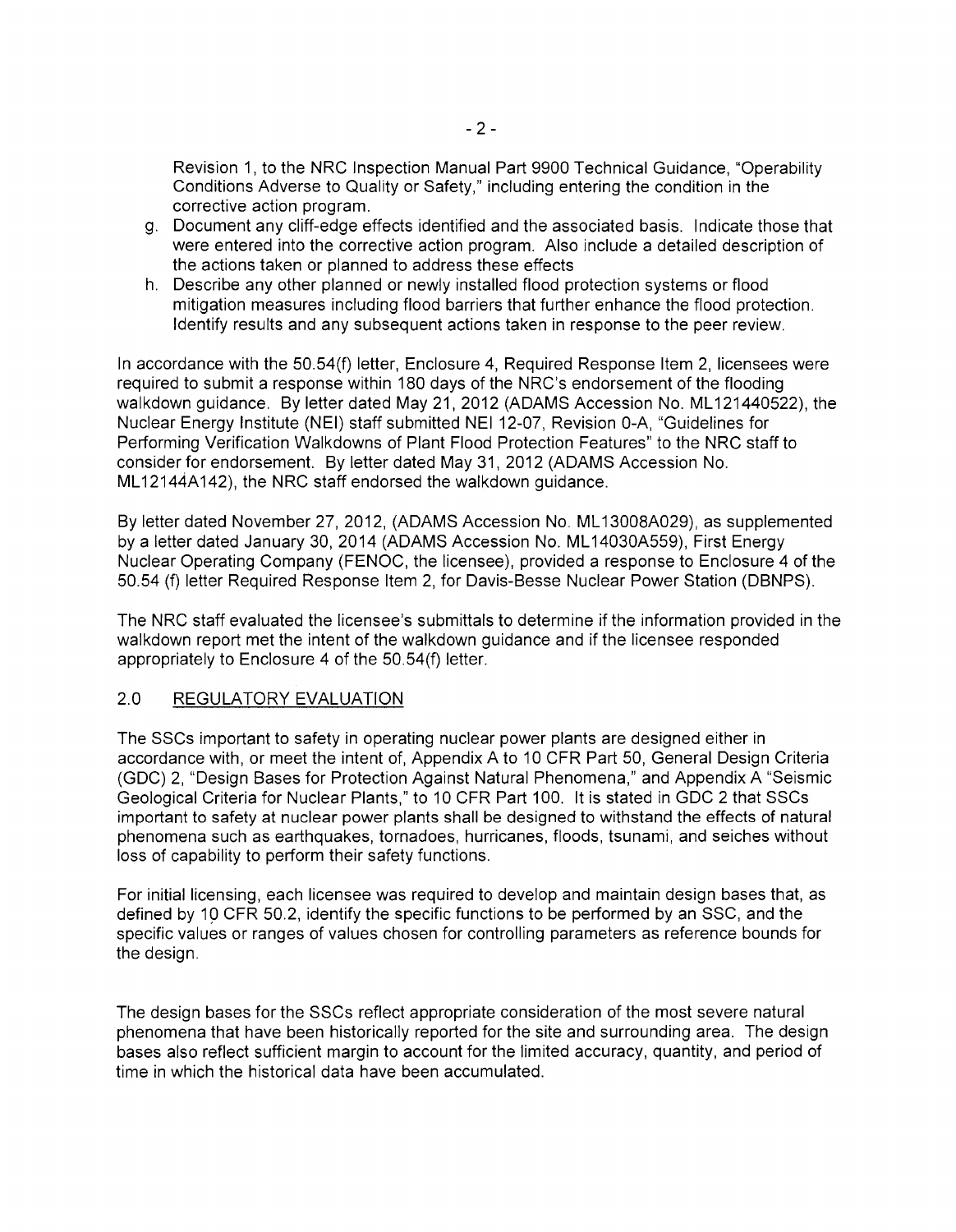Revision 1, to the NRC Inspection Manual Part 9900 Technical Guidance, "Operability Conditions Adverse to Quality or Safety," including entering the condition in the corrective action program.

- g. Document any cliff-edge effects identified and the associated basis. Indicate those that were entered into the corrective action program. Also include a detailed description of the actions taken or planned to address these effects
- h. Describe any other planned or newly installed flood protection systems or flood mitigation measures including flood barriers that further enhance the flood protection. Identify results and any subsequent actions taken in response to the peer review.

In accordance with the 50.54(f) letter, Enclosure 4, Required Response Item 2, licensees were required to submit a response within 180 days of the NRC's endorsement of the flooding walkdown guidance. By letter dated May 21, 2012 (ADAMS Accession No. ML121440522), the Nuclear Energy Institute (NEI) staff submitted NEI 12-07, Revision 0-A, "Guidelines for Performing Verification Walkdowns of Plant Flood Protection Features" to the NRC staff to consider for endorsement. By letter dated May 31, 2012 (ADAMS Accession No. ML12144A142), the NRC staff endorsed the walkdown quidance.

By letter dated November 27, 2012, (ADAMS Accession No. ML 13008A029), as supplemented by a letter dated January 30, 2014 (ADAMS Accession No. ML 14030A559), First Energy Nuclear Operating Company (FENOC, the licensee), provided a response to Enclosure 4 of the 50.54 (f) letter Required Response Item 2, for Davis-Besse Nuclear Power Station (DBNPS).

The NRC staff evaluated the licensee's submittals to determine if the information provided in the walkdown report met the intent of the walkdown guidance and if the licensee responded appropriately to Enclosure 4 of the 50.54(f) letter.

# 2.0 REGULATORY EVALUATION

The SSCs important to safety in operating nuclear power plants are designed either in accordance with, or meet the intent of, Appendix A to 10 CFR Part 50, General Design Criteria (GDC) 2, "Design Bases for Protection Against Natural Phenomena," and Appendix A "Seismic Geological Criteria for Nuclear Plants," to 10 CFR Part 100. It is stated in GDC 2 that SSCs important to safety at nuclear power plants shall be designed to withstand the effects of natural phenomena such as earthquakes, tornadoes, hurricanes, floods, tsunami, and seiches without loss of capability to perform their safety functions.

For initial licensing, each licensee was required to develop and maintain design bases that, as defined by 19 CFR 50.2, identify the specific functions to be performed by an SSC, and the specific values or ranges of values chosen for controlling parameters as reference bounds for the design.

The design bases for the SSCs reflect appropriate consideration of the most severe natural phenomena that have been historically reported for the site and surrounding area. The design bases also reflect sufficient margin to account for the limited accuracy, quantity, and period of time in which the historical data have been accumulated.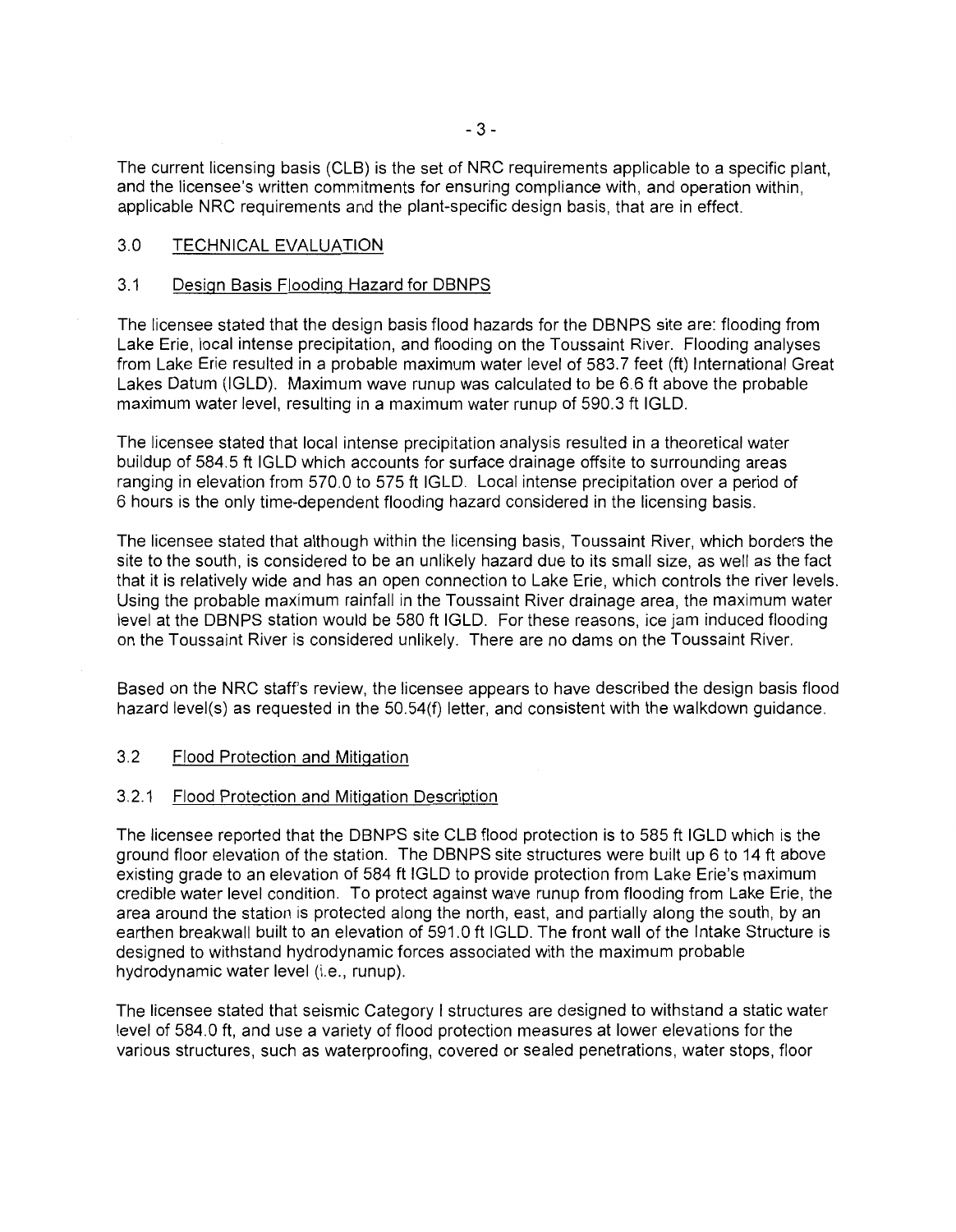The current licensing basis (CLB) is the set of NRC requirements applicable to a specific plant, and the licensee's written commitments for ensuring compliance with, and operation within, applicable NRC requirements and the plant-specific design basis, that are in effect.

#### 3.0 TECHNICAL EVALUATION

#### 3.1 Design Basis Flooding Hazard for DBNPS

The licensee stated that the design basis flood hazards for the DBNPS site are: flooding from Lake Erie, local intense precipitation, and flooding on the Toussaint River. Flooding analyses from Lake Erie resulted in a probable maximum water level of 583.7 feet (ft) International Great Lakes Datum (IGLD). Maximum wave runup was calculated to be 6.6 ft above the probable maximum water level, resulting in a maximum water runup of 590.3 ft IGLD.

The licensee stated that local intense precipitation analysis resulted in a theoretical water buildup of 584.5 ft IGLD which accounts for surface drainage offsite to surrounding areas ranging in elevation from 570.0 to 575 ft IGLD. Local intense precipitation over a period of 6 hours is the only time-dependent flooding hazard considered in the licensing basis.

The licensee stated that although within the licensing basis, Toussaint River, which borders the site to the south, is considered to be an unlikely hazard due to its small size, as well as the fact that it is relatively wide and has an open connection to Lake Erie, which controls the river levels. Using the probable maximum rainfall in the Toussaint River drainage area, the maximum water level at the DBNPS station would be 580 ft IGLD. For these reasons, ice jam induced flooding on the Toussaint River is considered unlikely. There are no dams on the Toussaint River.

Based on the NRC staff's review, the licensee appears to have described the design basis flood hazard level(s) as requested in the 50.54(f) letter, and consistent with the walkdown guidance.

#### 3.2 Flood Protection and Mitigation

#### 3.2.1 Flood Protection and Mitigation Description

The licensee reported that the DBNPS site CLB flood protection is to 585ft IGLD which is the ground floor elevation of the station. The DBNPS site structures were built up 6 to 14 ft above existing grade to an elevation of 584 ft IGLD to provide protection from Lake Erie's maximum credible water level condition. To protect against wave runup from flooding from Lake Erie, the area around the station is protected along the north, east, and partially along the south, by an earthen breakwall built to an elevation of 591.0 ft IGLD. The front wall of the Intake Structure is designed to withstand hydrodynamic forces associated with the maximum probable hydrodynamic water level (i.e., runup).

The licensee stated that seismic Category I structures are designed to withstand a static water level of 584.0 ft, and use a variety of flood protection measures at lower elevations for the various structures, such as waterproofing, covered or sealed penetrations, water stops, floor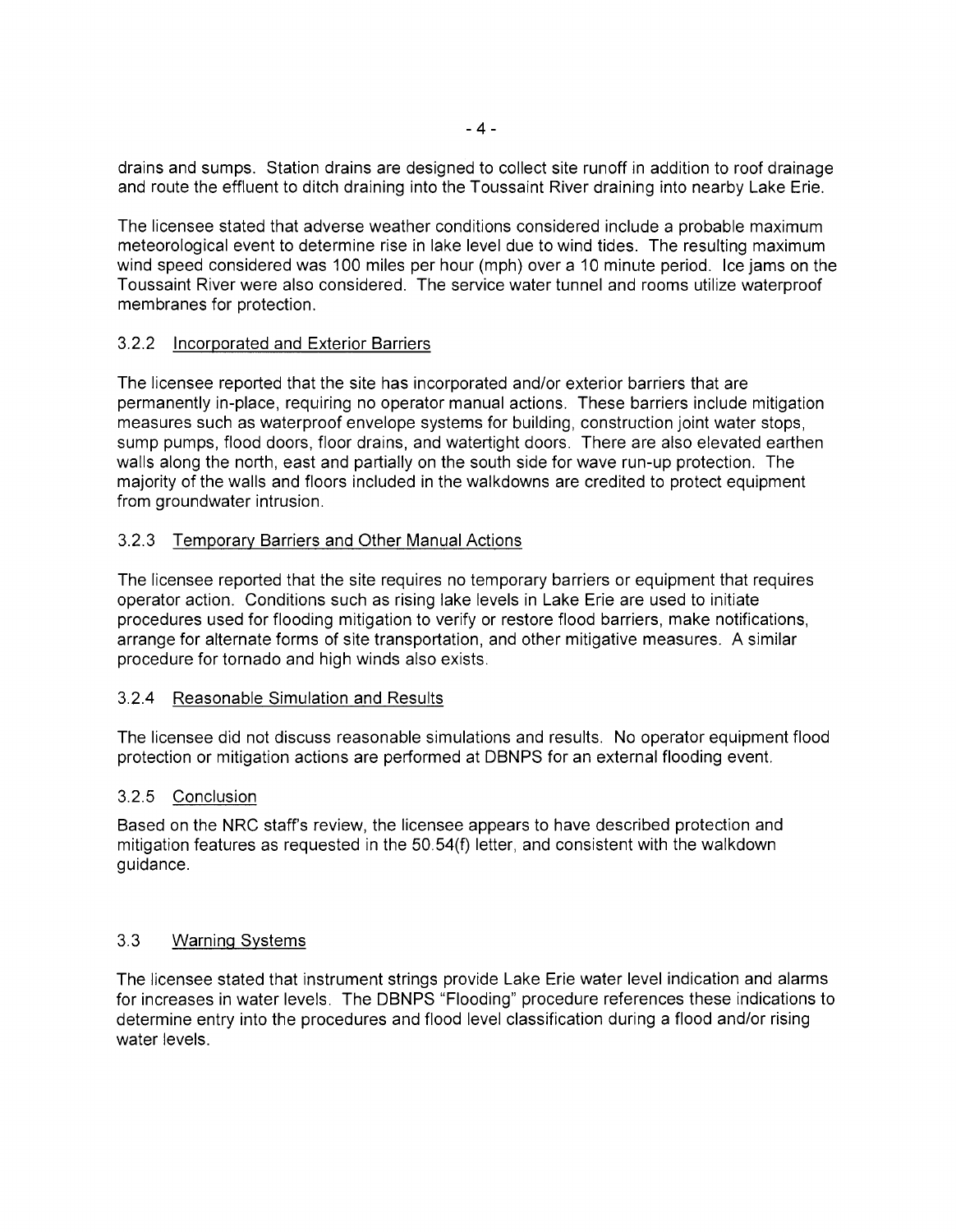drains and sumps. Station drains are designed to collect site runoff in addition to roof drainage and route the effluent to ditch draining into the Toussaint River draining into nearby Lake Erie.

The licensee stated that adverse weather conditions considered include a probable maximum meteorological event to determine rise in lake level due to wind tides. The resulting maximum wind speed considered was 100 miles per hour (mph) over a 10 minute period. Ice jams on the Toussaint River were also considered. The service water tunnel and rooms utilize waterproof membranes for protection.

## 3.2.2 Incorporated and Exterior Barriers

The licensee reported that the site has incorporated and/or exterior barriers that are permanently in-place, requiring no operator manual actions. These barriers include mitigation measures such as waterproof envelope systems for building, construction joint water stops, sump pumps, flood doors, floor drains, and watertight doors. There are also elevated earthen walls along the north, east and partially on the south side for wave run-up protection. The majority of the walls and floors included in the walkdowns are credited to protect equipment from groundwater intrusion.

## 3.2.3 Temporary Barriers and Other Manual Actions

The licensee reported that the site requires no temporary barriers or equipment that requires operator action. Conditions such as rising lake levels in Lake Erie are used to initiate procedures used for flooding mitigation to verify or restore flood barriers, make notifications, arrange for alternate forms of site transportation, and other mitigative measures. A similar procedure for tornado and high winds also exists.

#### 3.2.4 Reasonable Simulation and Results

The licensee did not discuss reasonable simulations and results. No operator equipment flood protection or mitigation actions are performed at DBNPS for an external flooding event.

#### 3.2.5 Conclusion

Based on the NRC staff's review, the licensee appears to have described protection and mitigation features as requested in the 50.54(f) letter, and consistent with the walkdown guidance.

#### 3.3 Warning Systems

The licensee stated that instrument strings provide Lake Erie water level indication and alarms for increases in water levels. The DBNPS "Flooding" procedure references these indications to determine entry into the procedures and flood level classification during a flood and/or rising water levels.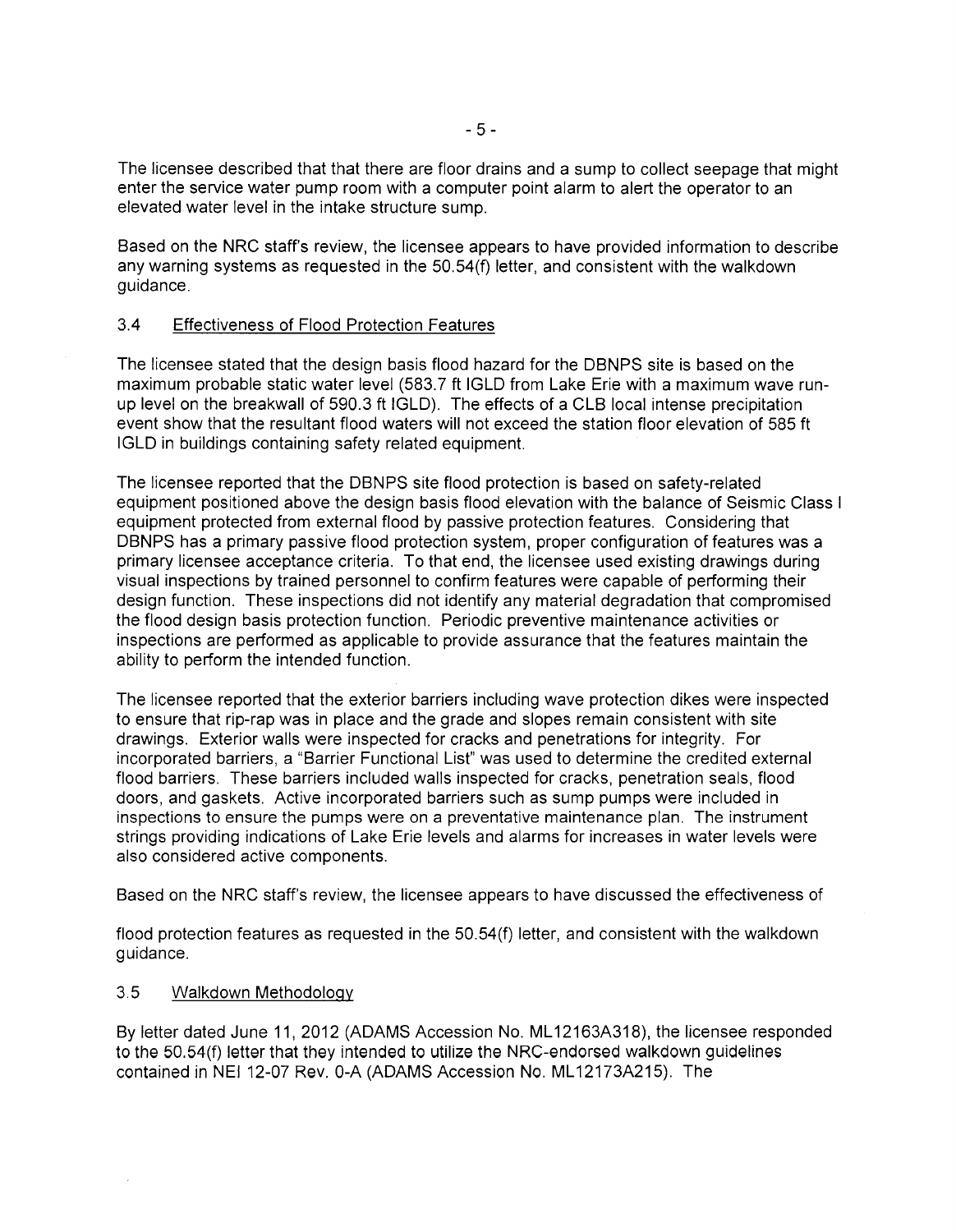The licensee described that that there are floor drains and a sump to collect seepage that might enter the service water pump room with a computer point alarm to alert the operator to an elevated water level in the intake structure sump.

Based on the NRC staff's review, the licensee appears to have provided information to describe any warning systems as requested in the 50.54(f) letter, and consistent with the walkdown guidance.

#### 3.4 Effectiveness of Flood Protection Features

The licensee stated that the design basis flood hazard for the DBNPS site is based on the maximum probable static water level (583.7 ft IGLD from Lake Erie with a maximum wave runup level on the breakwall of 590.3 ft IGLD). The effects of a CLB local intense precipitation event show that the resultant flood waters will not exceed the station floor elevation of 585 ft IGLD in buildings containing safety related equipment.

The licensee reported that the DBNPS site flood protection is based on safety-related equipment positioned above the design basis flood elevation with the balance of Seismic Class I equipment protected from external flood by passive protection features. Considering that DBNPS has a primary passive flood protection system, proper configuration of features was a primary licensee acceptance criteria. To that end, the licensee used existing drawings during visual inspections by trained personnel to confirm features were capable of performing their design function. These inspections did not identify any material degradation that compromised the flood design basis protection function. Periodic preventive maintenance activities or inspections are performed as applicable to provide assurance that the features maintain the ability to perform the intended function.

The licensee reported that the exterior barriers including wave protection dikes were inspected to ensure that rip-rap was in place and the grade and slopes remain consistent with site drawings. Exterior walls were inspected for cracks and penetrations for integrity. For incorporated barriers, a "Barrier Functional List" was used to determine the credited external flood barriers. These barriers included walls inspected for cracks, penetration seals, flood doors, and gaskets. Active incorporated barriers such as sump pumps were included in inspections to ensure the pumps were on a preventative maintenance plan. The instrument strings providing indications of Lake Erie levels and alarms for increases in water levels were also considered active components.

Based on the NRC staff's review, the licensee appears to have discussed the effectiveness of

flood protection features as requested in the 50.54(f) letter, and consistent with the walkdown guidance.

#### 3.5 Walkdown Methodology

By letter dated June 11, 2012 (ADAMS Accession No. ML12163A318), the licensee responded to the 50.54(f) letter that they intended to utilize the NRC-endorsed walkdown guidelines contained in NEI 12-07 Rev. 0-A (ADAMS Accession No. ML12173A215). The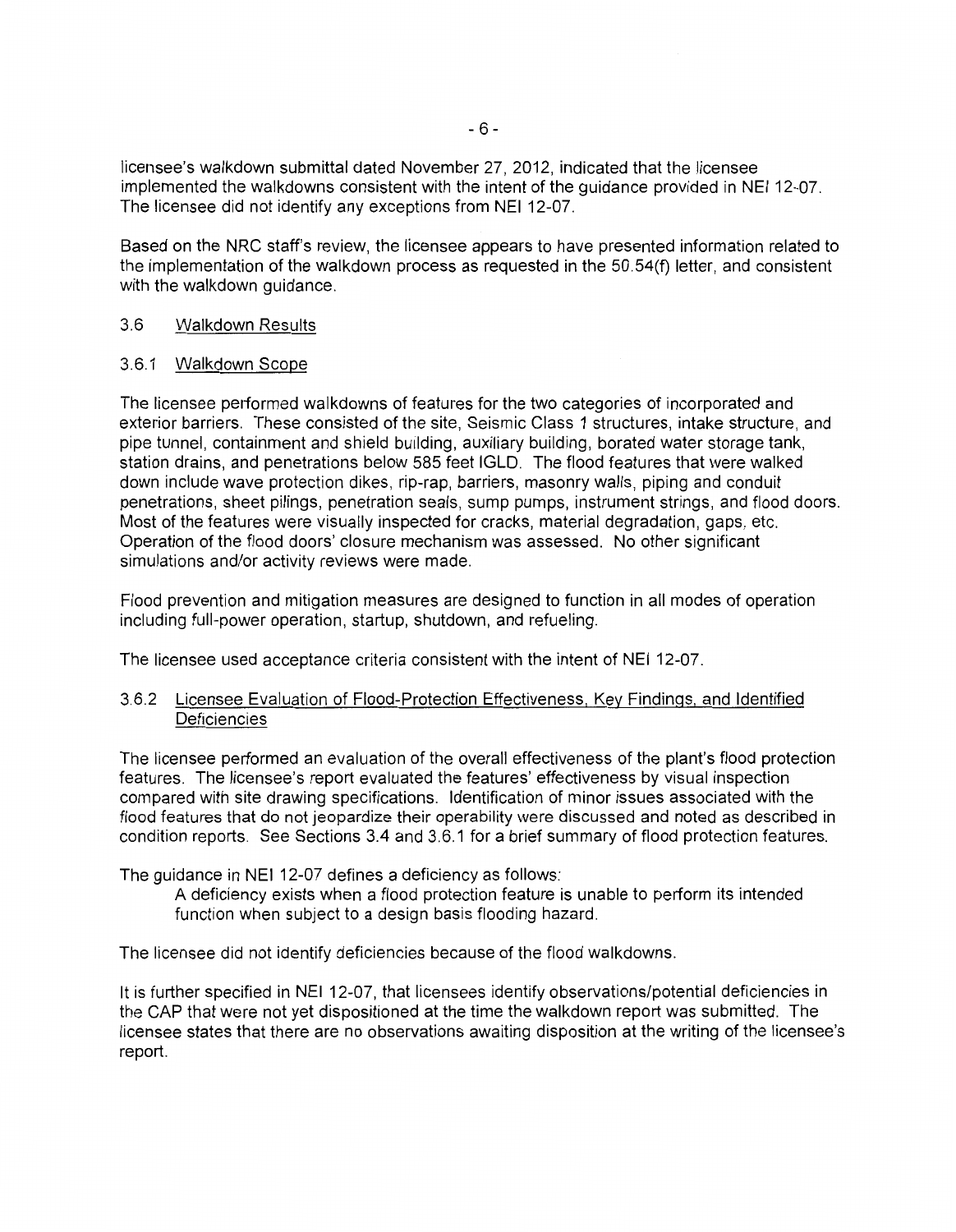licensee's walkdown submittal dated November 27, 2012, indicated that the licensee implemented the walkdowns consistent with the intent of the guidance provided in NEI 12-07. The licensee did not identify any exceptions from NEI 12-07.

Based on the NRC staff's review, the licensee appears to have presented information related to the implementation of the walkdown process as requested in the 50.54(f) letter, and consistent with the walkdown guidance.

## 3.6 Walkdown Results

## 3.6.1 Walkdown Scope

The licensee performed walkdowns of features for the two categories of incorporated and exterior barriers. These consisted of the site, Seismic Class 1 structures, intake structure, and pipe tunnel, containment and shield building, auxiliary building, borated water storage tank, station drains, and penetrations below 585 feet IGLD. The flood features that were walked down include wave protection dikes, rip-rap, barriers, masonry walls, piping and conduit penetrations, sheet pilings, penetration seals, sump pumps, instrument strings, and flood doors. Most of the features were visually inspected for cracks, material degradation, gaps, etc. Operation of the flood doors' closure mechanism was assessed. No other significant simulations and/or activity reviews were made.

Flood prevention and mitigation measures are designed to function in all modes of operation including full-power operation, startup, shutdown, and refueling.

The licensee used acceptance criteria consistent with the intent of NEI 12-07.

## 3.6.2 Licensee Evaluation of Flood-Protection Effectiveness, Key Findings, and Identified **Deficiencies**

The licensee performed an evaluation of the overall effectiveness of the plant's flood protection features. The licensee's report evaluated the features' effectiveness by visual inspection compared with site drawing specifications. Identification of minor issues associated with the flood features that do not jeopardize their operability were discussed and noted as described in condition reports. See Sections 3.4 and 3.6.1 for a brief summary of flood protection features.

The guidance in NEI 12-07 defines a deficiency as follows:

A deficiency exists when a flood protection feature is unable to perform its intended function when subject to a design basis flooding hazard.

The licensee did not identify deficiencies because of the flood walkdowns.

It is further specified in NEI 12-07, that licensees identify observations/potential deficiencies in the CAP that were not yet dis positioned at the time the walkdown report was submitted. The licensee states that there are no observations awaiting disposition at the writing of the licensee's report.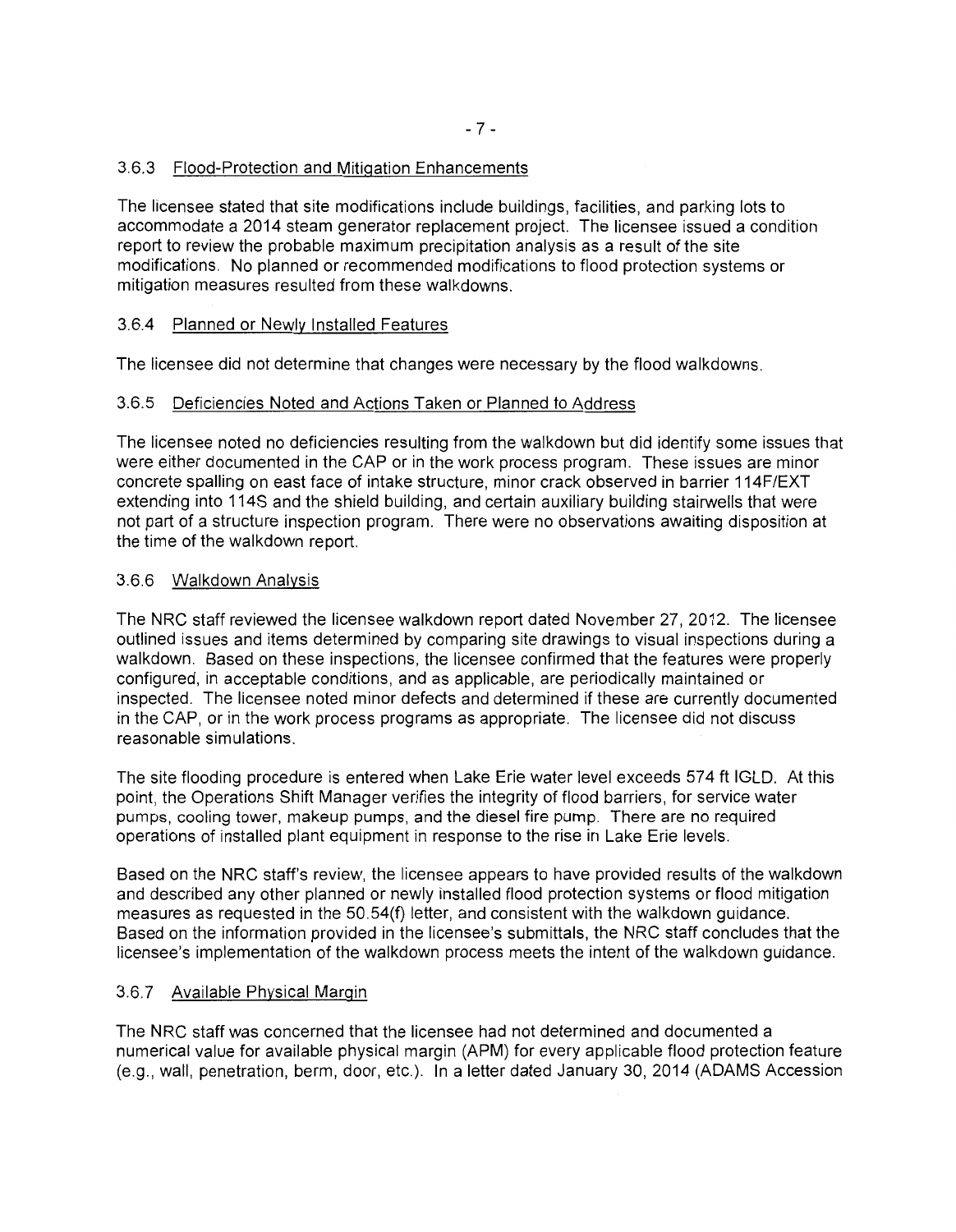# 3.6.3 Flood-Protection and Mitigation Enhancements

The licensee stated that site modifications include buildings, facilities, and parking lots to accommodate a 2014 steam generator replacement project. The licensee issued a condition report to review the probable maximum precipitation analysis as a result of the site modifications. No planned or recommended modifications to flood protection systems or mitigation measures resulted from these walkdowns.

# 3.6.4 Planned or Newly Installed Features

The licensee did not determine that changes were necessary by the flood walkdowns.

# 3.6.5 Deficiencies Noted and Actions Taken or Planned to Address

The licensee noted no deficiencies resulting from the walkdown but did identify some issues that were either documented in the CAP or in the work process program. These issues are minor concrete spalling on east face of intake structure, minor crack observed in barrier 114F/EXT extending into 114S and the shield building, and certain auxiliary building stairwells that were not part of a structure inspection program. There were no observations awaiting disposition at the time of the walkdown report.

# 3.6.6 Walkdown Analysis

The NRC staff reviewed the licensee walkdown report dated November 27, 2012. The licensee outlined issues and items determined by comparing site drawings to visual inspections during a walkdown. Based on these inspections, the licensee confirmed that the features were properly configured, in acceptable conditions, and as applicable, are periodically maintained or inspected. The licensee noted minor defects and determined if these are currently documented in the CAP, or in the work process programs as appropriate. The licensee did not discuss reasonable simulations.

The site flooding procedure is entered when Lake Erie water level exceeds 574ft IGLD. At this point, the Operations Shift Manager verifies the integrity of flood barriers, for service water pumps, cooling tower, makeup pumps, and the diesel fire pump. There are no required operations of installed plant equipment in response to the rise in Lake Erie levels.

Based on the NRC staff's review, the licensee appears to have provided results of the walkdown and described any other planned or newly installed flood protection systems or flood mitigation measures as requested in the 50.54(f) letter, and consistent with the walkdown guidance. Based on the information provided in the licensee's submittals, the NRC staff concludes that the licensee's implementation of the walkdown process meets the intent of the walkdown guidance.

# 3.6.7 Available Physical Margin

The NRC staff was concerned that the licensee had not determined and documented a numerical value for available physical margin (APM) for every applicable flood protection feature (e.g., wall, penetration, berm, door, etc.). In a letter dated January 30, 2014 (ADAMS Accession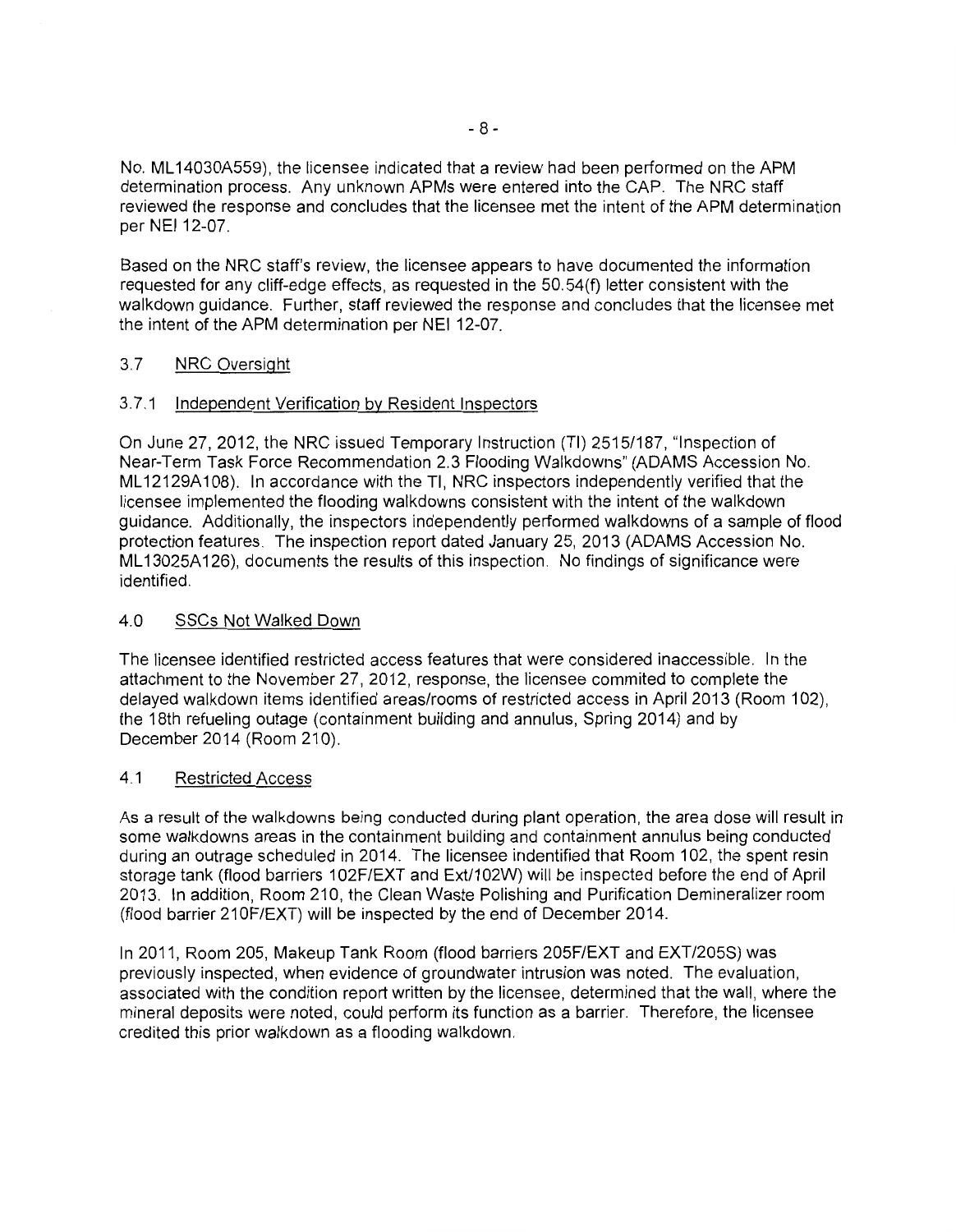No. ML 14030A559), the licensee indicated that a review had been performed on the APM determination process. Any unknown APMs were entered into the CAP. The NRC staff reviewed the response and concludes that the licensee met the intent of the APM determination per NEI 12-07.

Based on the NRC staff's review, the licensee appears to have documented the information requested for any cliff-edge effects, as requested in the 50.54(f) letter consistent with the walkdown guidance. Further, staff reviewed the response and concludes that the licensee met the intent of the APM determination per NEI 12-07.

## 3.7 NRC Oversight

#### 3.7.1 Independent Verification by Resident Inspectors

On June 27,2012, the NRC issued Temporary Instruction (TI) 2515/187, "Inspection of Near-Term Task Force Recommendation 2.3 Flooding Walkdowns" (ADAMS Accession No. ML 12129A 108). In accordance with the TI, NRC inspectors independently verified that the licensee implemented the flooding walkdowns consistent with the intent of the walkdown guidance. Additionally, the inspectors independently performed walkdowns of a sample of flood protection features. The inspection report dated January 25, 2013 (ADAMS Accession No. ML 13025A 126), documents the results of this inspection. No findings of significance were identified.

#### 4.0 SSCs Not Walked Down

The licensee identified restricted access features that were considered inaccessible. In the attachment to the November 27, 2012, response, the licensee commited to complete the delayed walkdown items identified areas/rooms of restricted access in April 2013 (Room 102), the 18th refueling outage (containment building and annulus, Spring 2014) and by December 2014 (Room 210).

#### 4.1 Restricted Access

As a result of the walkdowns being conducted during plant operation, the area dose will result in some walkdowns areas in the containment building and containment annulus being conducted during an outrage scheduled in 2014. The licensee indentified that Room 102, the spent resin storage tank (flood barriers 102F/EXT and Ext/102W) will be inspected before the end of April 2013. In addition, Room 210, the Clean Waste Polishing and Purification Demineralizer room (flood barrier 210F/EXT) will be inspected by the end of December 2014.

In 2011, Room 205, Makeup Tank Room (flood barriers 205F/EXT and EXT/205S) was previously inspected, when evidence of groundwater intrusion was noted. The evaluation, associated with the condition report written by the licensee, determined that the wall, where the mineral deposits were noted, could perform its function as a barrier. Therefore, the licensee credited this prior walkdown as a flooding walkdown.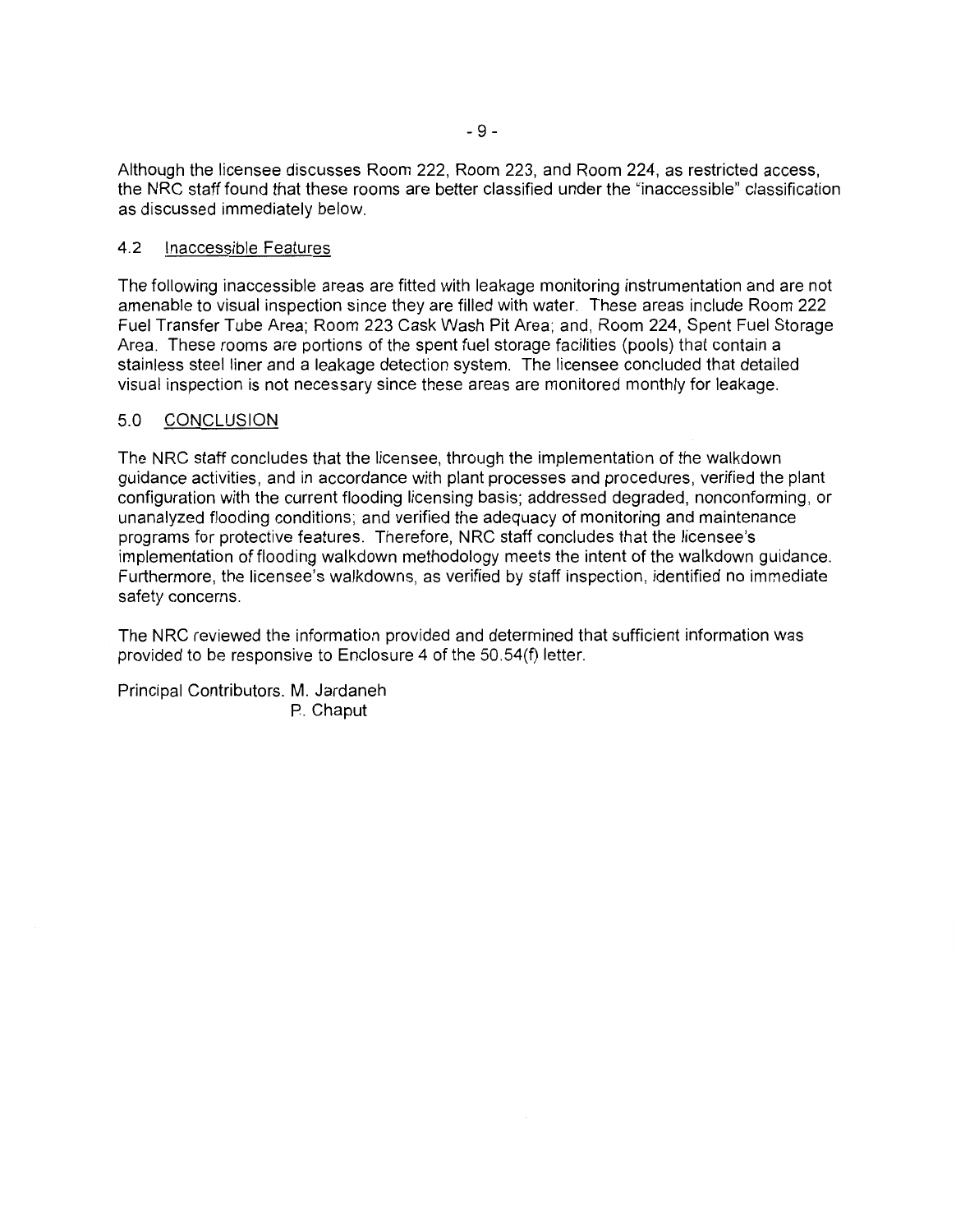Although the licensee discusses Room 222, Room 223, and Room 224, as restricted access, the NRC staff found that these rooms are better classified under the "inaccessible" classification as discussed immediately below.

#### 4.2 Inaccessible Features

The following inaccessible areas are fitted with leakage monitoring instrumentation and are not amenable to visual inspection since they are filled with water. These areas include Room 222 Fuel Transfer Tube Area; Room 223 Cask Wash Pit Area; and, Room 224, Spent Fuel Storage Area. These rooms are portions of the spent fuel storage facilities (pools) that contain a stainless steel liner and a leakage detection system. The licensee concluded that detailed visual inspection is not necessary since these areas are monitored monthly for leakage.

## 5.0 CONCLUSION

The NRC staff concludes that the licensee, through the implementation of the walkdown guidance activities, and in accordance with plant processes and procedures, verified the plant configuration with the current flooding licensing basis; addressed degraded, nonconforming, or unanalyzed flooding conditions; and verified the adequacy of monitoring and maintenance programs for protective features. Therefore, NRC staff concludes that the licensee's implementation of flooding walkdown methodology meets the intent of the walkdown guidance. Furthermore, the licensee's walkdowns, as verified by staff inspection, identified no immediate safety concerns.

The NRC reviewed the information provided and determined that sufficient information was provided to be responsive to Enclosure 4 of the 50.54(f) letter.

Principal Contributors. M. Jardaneh P. Chaput